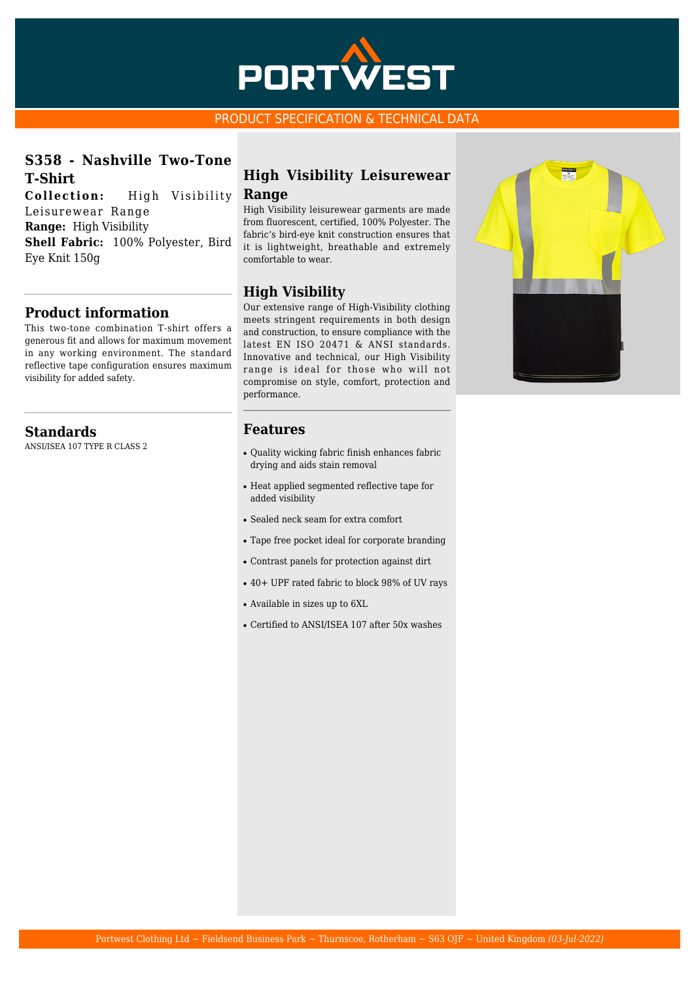

#### PRODUCT SPECIFICATION & TECHNICAL DATA

## **S358 - Nashville Two-Tone T-Shirt**

**Collection:** High Visibility Leisurewear Range **Range:** High Visibility **Shell Fabric:** 100% Polyester, Bird Eye Knit 150g

## **Product information**

This two-tone combination T-shirt offers a generous fit and allows for maximum movement in any working environment. The standard reflective tape configuration ensures maximum visibility for added safety.

## **Standards**

ANSI/ISEA 107 TYPE R CLASS 2

## **High Visibility Leisurewear Range**

High Visibility leisurewear garments are made from fluorescent, certified, 100% Polyester. The fabric's bird-eye knit construction ensures that it is lightweight, breathable and extremely comfortable to wear.

## **High Visibility**

Our extensive range of High-Visibility clothing meets stringent requirements in both design and construction, to ensure compliance with the latest EN ISO 20471 & ANSI standards. Innovative and technical, our High Visibility range is ideal for those who will not compromise on style, comfort, protection and performance.

## **Features**

- Quality wicking fabric finish enhances fabric drying and aids stain removal
- Heat applied segmented reflective tape for added visibility
- Sealed neck seam for extra comfort
- Tape free pocket ideal for corporate branding
- Contrast panels for protection against dirt
- 40+ UPF rated fabric to block 98% of UV rays
- Available in sizes up to 6XL
- Certified to ANSI/ISEA 107 after 50x washes